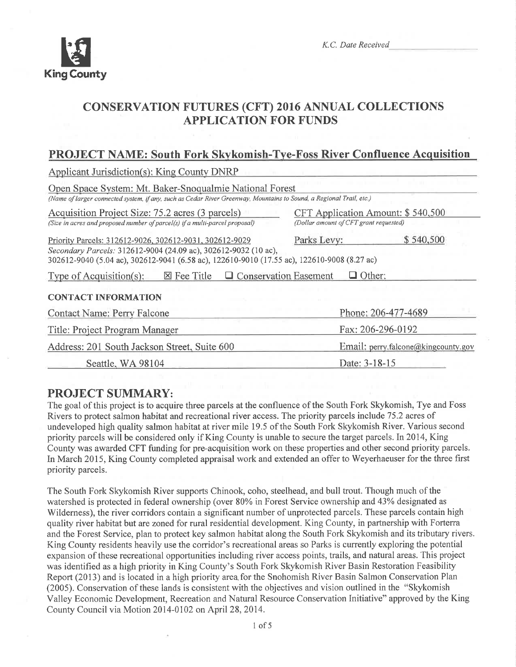

# **CONSERVATION FUTURES (CFT) 2016 ANNUAL COLLECTIONS APPLICATION FOR FUNDS**

## **PROJECT NAME: South Fork Skykomish-Tye-Foss River Confluence Acquisition**

**Applicant Jurisdiction(s): King County DNRP** 

| Open Space System: Mt. Baker-Snoqualmie National Forest<br>(Name of larger connected system, if any, such as Cedar River Greenway, Mountains to Sound, a Regional Trail, etc.)                                            |                                                                             |  |  |  |
|---------------------------------------------------------------------------------------------------------------------------------------------------------------------------------------------------------------------------|-----------------------------------------------------------------------------|--|--|--|
| Acquisition Project Size: 75.2 acres (3 parcels)<br>(Size in acres and proposed number of parcel(s) if a multi-parcel proposal)                                                                                           | CFT Application Amount: \$540,500<br>(Dollar amount of CFT grant requested) |  |  |  |
| Priority Parcels: 312612-9026, 302612-9031, 302612-9029<br>Secondary Parcels: 312612-9004 (24.09 ac), 302612-9032 (10 ac),<br>302612-9040 (5.04 ac), 302612-9041 (6.58 ac), 122610-9010 (17.55 ac), 122610-9008 (8.27 ac) | \$540,500<br>Parks Levy:                                                    |  |  |  |
| Type of Acquisition(s):<br>$\boxtimes$ Fee Title<br>$\Box$ Conservation Easement                                                                                                                                          | Other:<br>ப                                                                 |  |  |  |
| <b>CONTACT INFORMATION</b>                                                                                                                                                                                                |                                                                             |  |  |  |
| <b>Contact Name: Perry Falcone</b>                                                                                                                                                                                        | Phone: 206-477-4689                                                         |  |  |  |
| Title: Project Program Manager                                                                                                                                                                                            | Fax: 206-296-0192                                                           |  |  |  |
| Address: 201 South Jackson Street, Suite 600                                                                                                                                                                              | Email: perry.falcone@kingcounty.gov                                         |  |  |  |
| Seattle, WA 98104                                                                                                                                                                                                         | Date: 3-18-15                                                               |  |  |  |

## **PROJECT SUMMARY:**

The goal of this project is to acquire three parcels at the confluence of the South Fork Skykomish, Tye and Foss Rivers to protect salmon habitat and recreational river access. The priority parcels include 75.2 acres of undeveloped high quality salmon habitat at river mile 19.5 of the South Fork Skykomish River. Various second priority parcels will be considered only if King County is unable to secure the target parcels. In 2014, King County was awarded CFT funding for pre-acquisition work on these properties and other second priority parcels. In March 2015, King County completed appraisal work and extended an offer to Weyerhaeuser for the three first priority parcels.

The South Fork Skykomish River supports Chinook, coho, steelhead, and bull trout. Though much of the watershed is protected in federal ownership (over 80% in Forest Service ownership and 43% designated as Wilderness), the river corridors contain a significant number of unprotected parcels. These parcels contain high quality river habitat but are zoned for rural residential development. King County, in partnership with Forterra and the Forest Service, plan to protect key salmon habitat along the South Fork Skykomish and its tributary rivers. King County residents heavily use the corridor's recreational areas so Parks is currently exploring the potential expansion of these recreational opportunities including river access points, trails, and natural areas. This project was identified as a high priority in King County's South Fork Skykomish River Basin Restoration Feasibility Report (2013) and is located in a high priority area for the Snohomish River Basin Salmon Conservation Plan (2005). Conservation of these lands is consistent with the objectives and vision outlined in the "Skykomish" Valley Economic Development, Recreation and Natural Resource Conservation Initiative" approved by the King County Council via Motion 2014-0102 on April 28, 2014.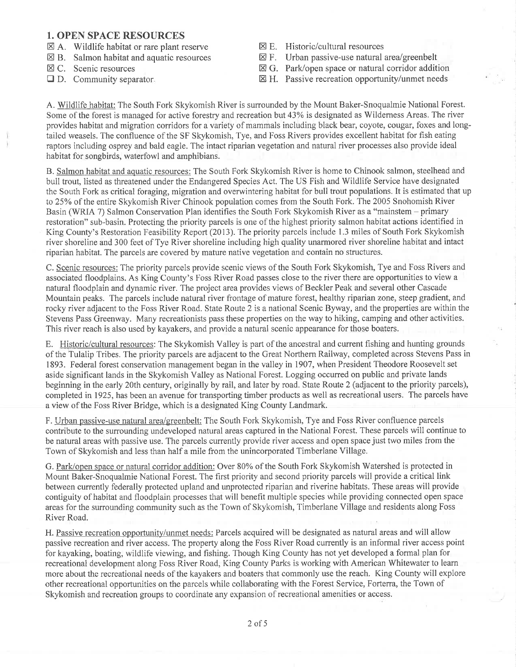#### 1. OPEN SPACE RESOURCES

- $\boxtimes$  A. Wildlife habitat or rare plant reserve
- $\boxtimes$  B. Salmon habitat and aquatic resources

 $\boxtimes$  C. Scenic resources

 $\Box$  D. Community separator.

- $\boxtimes$  E. Historic/cultural resources
- $\boxtimes$  F. Urban passive-use natural area/greenbelt
- $\boxtimes$  G. Park/open space or natural corridor addition
- $\boxtimes$  H. Passive recreation opportunity/unmet needs

A. Wildlife habitat: The South Fork Skykomish River is surrounded by the Mount Baker-Snoqualmie National Forest. Some of the forest is managed for active forestry and recreation but 43% is designated as Wilderness Areas. The river provides habitat and migration corridors for a variety of mammals including black bear, coyote, cougar, foxes and longtailed weasels. The confluence of the SF Skykomish, Tye, and Foss Rivers provides excellent habitat for fish eating raptors including osprey and bald eagle. The intact riparian vegetation and natural river processes also provide ideal habitat for songbirds, waterfowl and amphibians.

B. Salmon habitat and aquatic resources: The South Fork Skykomish River is home to Chinook salmon, steelhead and bull trout, listed as threatened under the Endangered Species Act. The US Fish and Wildlife Service have designated the South Fork as critical foraging, migration and overwintering habitat for bull trout populations. It is estimated that up to 25%o of the entire Skykomish River Chinook population comes from the South Fork. The 2005 Snohomish River Basin (WRIA 7) Salmon Conservation Plan identifies the South Fork Skykomish River as a "mainstem - primary restoration" sub-basin. Protecting the priority parcels is one of the highest priority salmon habitat actions identified in King County's Restoration Feasibility Report (2013). The priority parcels include 1.3 miles of South Fork Skykomish river shoreline and 300 feet of Tye River shoreline including high quality unarmored river shoreline habitat and intact riparian habitat. The parcels are covered by mature native vegetation and contain no structures.

C. Scenic resources: The priority parcels provide scenic views of the South Fork Skykomish, Tye and Foss Rivers and associated floodplains. As King County's Foss River Road passes close to the river there are opportunities to view a natural floodplain and dynamic river. The project area provides views of Beckler Peak and several other Cascade Mountain peaks. The parcels include natural river frontage of mature forest, healthy riparian zone, steep gradient, and rocky river adjacent to the Foss River Road. State Route 2 is a national Scenic Byway, and the properties are within the Stevens Pass Greenway. Many recreationists pass these properties on the way to hiking, camping and other activities. This river reach is also used by kayakers, and provide a natural scenic appearance for those boaters.

E. Historic/cultural resources: The Skykomish Valley is part of the ancestral and current fishing and hunting grounds of the Tulalip Tribes. The priority parcels are adjacent to the Great Northern Railway, completed across Stevens Pass in <sup>I</sup><sup>893</sup>. Federal forest conservation management began in the valley in <sup>1907</sup>, when President Theodore Roosevelt set aside significant lands in the Skykomish Valley as National Forest. Logging occurred on public and private lands beginning in the early 20th century, originally by rail, and later by road. State Route 2 (adjacent to the priority parcels), completed in 1925, has been an avenue for transporting timber products as well as recreational users. The parcels have a view of the Foss River Bridge, which is a designated King County Landmark.

F. Urban passive-use natural area"/greenbelt: The South Fork Skykomish, Tye and Foss River confluence parcels contribute to the surrounding undeveloped natural areas captured in the National Forest. These parcels will continue to be natural areas with passive use. The parcels currently provide river access and open space just two miles from the Town of Skykomish and less than half a mile from the unincorporated Timberlane Village.

G. Park/open space or natural corridor addition: Over 80% of the South Fork Skykomish Watershed is protected in Mount Baker-Snoqualmie National Forest. The first priority and second priority parcels will provide a critical link between currently federally protected upland and unprotected riparian and riverine habitats. These areas will provide contiguity of habitat and floodplain processes that will benefit multiple species while providing connected open space areas for the surrounding community such as the Town of Skykomish, Timberlane Village and residents along Foss River Road.

H. Passive recreation opportunity/unmet needs: Parcels acquired will be designated as natural areas and will allow passive recreation and river access. The property along the Foss River Road currently is an informal river access point for kayaking, boating, wildlife viewing, and fishing. Though King County has not yet developed a formal plan for recreational development along Foss River Road, King County Parks is working with American Whitewater to learn more about the recreational needs of the kayakers and boaters that commonly use the reach. King County will explore other recreational opportunities on the parcels while collaborating with the Forest Service, Forterra, the Town of Skykomish and recreation groups to coordinate any expansion of recreational amenities or access.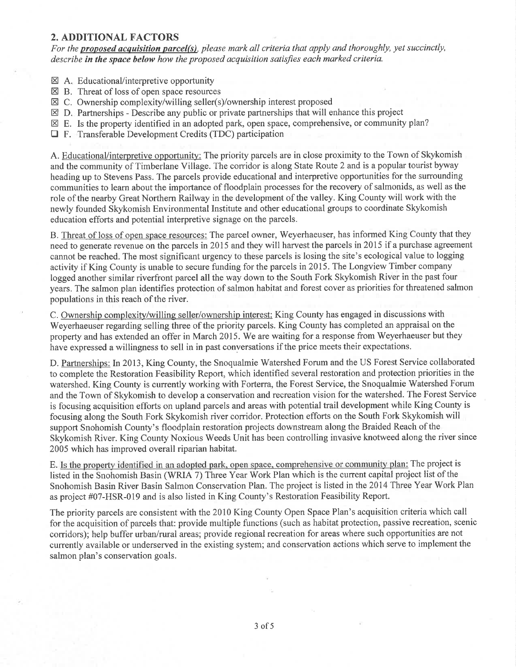#### 2. ADDITIONAL FACTORS

For the proposed acquisition parcel(s), please mark all criteria that apply and thoroughly, yet succinctly, describe in the space below how the proposed acquisition satisfies each marked criteria.

- $\boxtimes$  A. Educational/interpretive opportunity
- B. Threat of loss of open space resources
- 8C. Ownership complexity/willing seller(s)/ownership interest proposed
- $\boxtimes$  D. Partnerships Describe any public or private partnerships that will enhance this project
- $\boxtimes$  E. Is the property identified in an adopted park, open space, comprehensive, or community plan?
- $\Box$  F. Transferable Development Credits (TDC) participation

A. Educational/interpretive opportunity: The priority parcels are in close proximity to the Town of Skykomish and the community of Timberlane Village. The corridor is along State Route 2 and is a popular tourist byway heading up to Stevens Pass. The parcels provide educational and interpretive opportunities for the surrounding communities to learn about the importance of floodplain processes for the recovery of salmonids, as well as the role of the nearby Great Northern Railway in the development of the valley. King County will work with the newly founded Skykomish Environmental Institute and other educational groups to coordinate Skykomish education efforts and potential interpretive signage on the parcels.

B. Threat of loss of open space resources: The parcel owner, Weyerhaeuser, has informed King County that they need to generate revenue on the parcels in 2015 and they will harvest the parcels in 2015 if a purchase agreement cannot be reached. The most significant urgency to these parcels is losing the site's ecological value to logging activity if King County is unable to secure funding for the parcels in 2015. The Longview Timber company logged another similar riverfront parcel all the way down to the South Fork Skykomish River in the past four years. The salmon plan identifies protection of salmon habitat and forest cover as priorities for threatened salmon populations in this reach of the river.

C. Ownership complexity/willing seller/ownership interest: King County has engaged in discussions with Weyerhaeuser regarding selling three of the priority parcels. King County has completed an appraisal on the property and has extended an offer in March 2015. We are waiting for a response from Weyerhaeuser but they have expressed a willingness to sell in in past conversations if the price meets their expectations.

D. Partnerships: In 2013, King County, the Snoqualmie Watershed Forum and the US Forest Service collaborated to complete the Restoration Feasibility Report, which identified several restoration and protection priorities in the watershed. King County is currently working with Forterra, the Forest Service, the Snoqualmie Watershed Forum and the Town of Skykomish to develop a conservation and recreation vision for the watershed. The Forest Service is focusing acquisition efforts on upland parcels and areas with potential trail development while King County is focusing along the South Fork Skykomish river corridor. Protection efforts on the South Fork Skykomish will support Snohomish County's floodplain restoration projects downstream along the Braided Reach of the Skykomish River. King County Noxious Weeds Unit has been controlling invasive knotweed along the river since 2005 which has improved overall riparian habitat.

E. Is the property identified in an adopted park, open space, comprehensive or community plan: The project is listed in the Snohomish Basin (WRIA 7) Three Year Work Plan which is the current capital project list of the Snohomish Basin River Basin Salmon Conservation Plan. The project is listed inthe2014 Three Year Work Plan as project #07-HSR-019 and is also listed in King County's Restoration Feasibility Report.

The priority parcels are consistent with the 2010 King County Open Space Plan's acquisition criteria which call for the acquisition of parcels that: provide multiple functions (such as habitat protection, passive recreation, scenic corridors); help buffer urban/rural areas; provide regional recreation for areas where such opportunities are not currently available or underserved in the existing system; and conservation actions which serve to implement the salmon plan's conservation goals.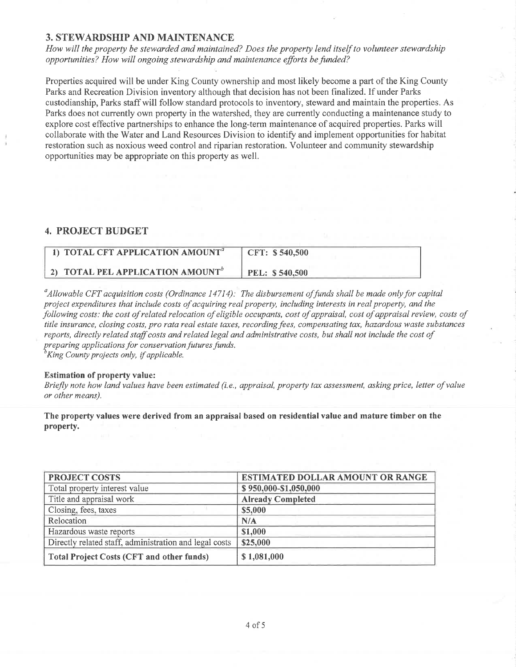#### 3. STEWARDSHIP AND MAINTENANCE

How will the property be stewarded and maintained? Does the property lend itself to volunteer stewardship opportunities? How will ongoing stewardship and maintenance efforts be funded?

Properties acquired will be under King County ownership and most likely become a part of the King County Parks and Recreation Division inventory although that decision has not been finalized. If under Parks custodianship, Parks staff will follow standard protocols to inventory, steward and maintain the properties. As Parks does not currently own property in the watershed, they are currently conducting a maintenance study to explore cost effective partnerships to enhance the long-term maintenance of acquired properties. Parks will collaborate with the Water and Land Resources Division to identify and implement opportunities for habitat restoration such as noxious weed control and riparian restoration. Volunteer and community stewardship opportunities may be appropriate on this property as well.

#### 4. PROJECT BUDGET

| 1) TOTAL CFT APPLICATION AMOUNT <sup>a</sup> | CFT: \$540,500 |
|----------------------------------------------|----------------|
| 2) TOTAL PEL APPLICATION AMOUNT <sup>®</sup> | PEL: \$540,500 |

 $^a$ Allowable CFT acquisition costs (Ordinance 14714): The disbursement of funds shall be made only for capital project expenditures that include costs of acquiring real property, including interests in real property, and the following costs: the cost of related relocation of eligible occupants, cost of appraisal, cost of appraisal review, costs of title insurance, closing costs, pro rata real estate taxes, recording fees, compensating tax, hazardous waste substances reports, directly related staff costs and related legal and administrative costs, but shall not include the cost of preparing applications for conservation futures funds.

 ${}^{\scriptscriptstyle b}$ King County projects only, if applicable.

#### Estimation of property value:

Briefly note how land values have been estimated (i.e., appraisal, property tax assessment, asking price, letter of value or other means).

The properfy values were derived from an appraisal based on residential value and mature timber on the property.

| <b>PROJECT COSTS</b>                                   | <b>ESTIMATED DOLLAR AMOUNT OR RANGE</b> |
|--------------------------------------------------------|-----------------------------------------|
| Total property interest value                          | \$950,000-\$1,050,000                   |
| Title and appraisal work                               | <b>Already Completed</b>                |
| Closing, fees, taxes                                   | \$5,000                                 |
| Relocation                                             | N/A                                     |
| Hazardous waste reports                                | \$1,000                                 |
| Directly related staff, administration and legal costs | \$25,000                                |
| <b>Total Project Costs (CFT and other funds)</b>       | \$1,081,000                             |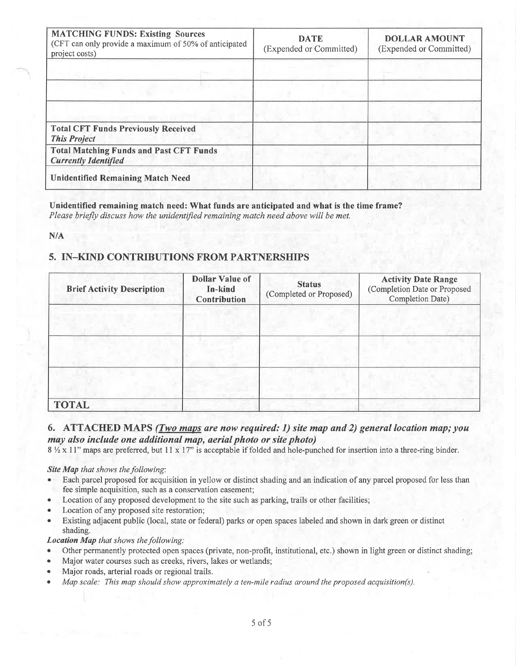| <b>MATCHING FUNDS: Existing Sources</b><br>(CFT can only provide a maximum of 50% of anticipated<br>project costs) | <b>DATE</b><br>(Expended or Committed) | <b>DOLLAR AMOUNT</b><br>(Expended or Committed) |
|--------------------------------------------------------------------------------------------------------------------|----------------------------------------|-------------------------------------------------|
| <b>Profit</b>                                                                                                      |                                        |                                                 |
|                                                                                                                    |                                        |                                                 |
|                                                                                                                    |                                        |                                                 |
| <b>Total CFT Funds Previously Received</b><br><b>This Project</b>                                                  |                                        |                                                 |
| <b>Total Matching Funds and Past CFT Funds</b><br><b>Currently Identified</b>                                      |                                        |                                                 |
| <b>Unidentified Remaining Match Need</b>                                                                           |                                        |                                                 |

Unidentified remaining match need: What funds are anticipated and what is the time frame? Please briefly discuss how the unidentified remaining match need above will be met.

N/A

## 5. IN-KIND CONTRIBUTIONS FROM PARTNERSHIPS

| <b>Brief Activity Description</b> | <b>Dollar Value of</b><br>In-kind<br><b>Contribution</b> | <b>Status</b><br>(Completed or Proposed) | <b>Activity Date Range</b><br>(Completion Date or Proposed<br>Completion Date) |
|-----------------------------------|----------------------------------------------------------|------------------------------------------|--------------------------------------------------------------------------------|
|                                   |                                                          |                                          |                                                                                |
|                                   |                                                          |                                          |                                                                                |
|                                   |                                                          |                                          |                                                                                |
| <b>TOTAL</b>                      |                                                          |                                          |                                                                                |

## 6. ATTACHED MAPS (*Two maps are now required: 1) site map and 2) general location map; you* may ølso include one additíonal map, aeríal photo or sìte photo)

 $8\frac{1}{2}$  x 11" maps are preferred, but 11 x 17" is acceptable if folded and hole-punched for insertion into a three-ring binder.

Site Map that shows the following:

- Each parcel proposed for acquisition in yellow or distinct shading and an indication of any parcel proposed for less than fee simple acquisition, such as a conservation easement;
- Location of any proposed development to the site such as parking, trails or other facilities;
- Location of any proposed site restoration;
- Existing adjacent public (local, state or federal) parks or open spaces labeled and shown in dark green or distinct shading.

Location Map that shows the following:

- Other permanently protected open spaces (private, non-profit, institutional, etc.) shown in light green or distinct shading;
- . Major water courses such as creeks, rivers, lakes or wetlands;
- . Major roads, arterial roads or regional trails.
- Map scale: This map should show approximately a ten-mile radius around the proposed acquisition(s).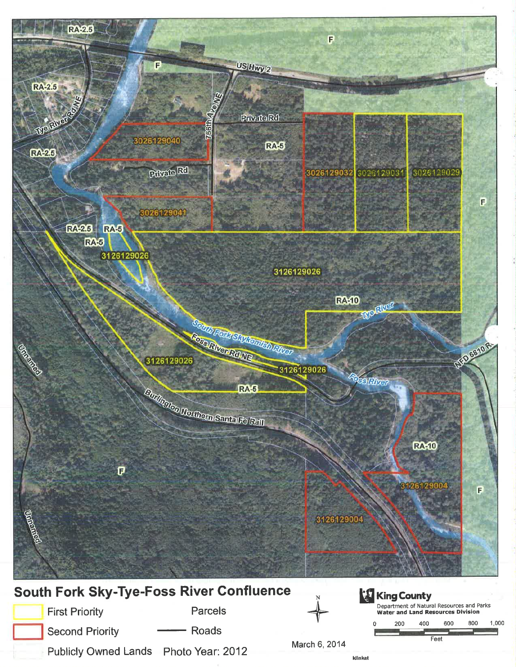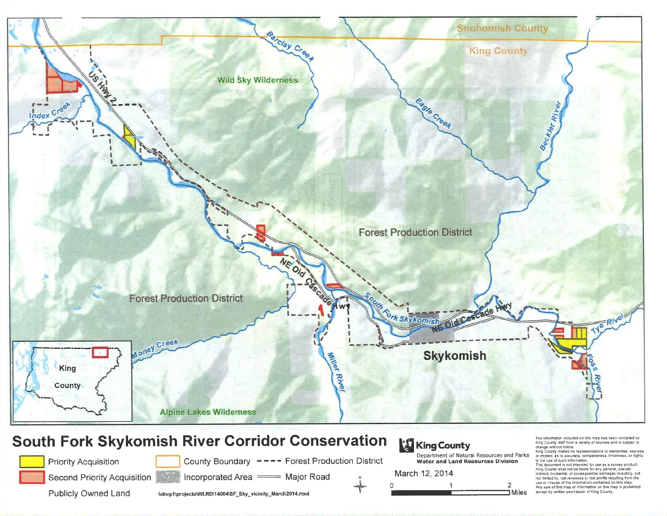

# South Fork Skykomish River Corridor Conservation



**Priority Acquisition** 



Incorporated Area - Major Road

County Boundary ---- Forest Production District

**King County** 

Department of Natural Resources and Parks **Water and Land Resources Division** 

2

 $\blacksquare$  Miles

March 12, 2014

The information included on this map has been compiled by King County staff from a variety of sources and is subject to<br>change without notice

King County makes no representations or warranties, express<br>or implied, as to accuracy, completeness, timeliness, or rights

to the use of such information.<br>This document is not intended for use as a survey product. King County shall not be liable for any general special, indirect, incidental, or consequential damages including, but not limited to, lost revenues or lost profits resulting from the use or misuse of the information contained on this map Any sale of this map or information on this map is prohibited except by written permission of King County

**Publicly Owned Land** 

\\dnrp1\projects\WLRD\14004\SF\_Sky\_vicinity\_March2014.mxd